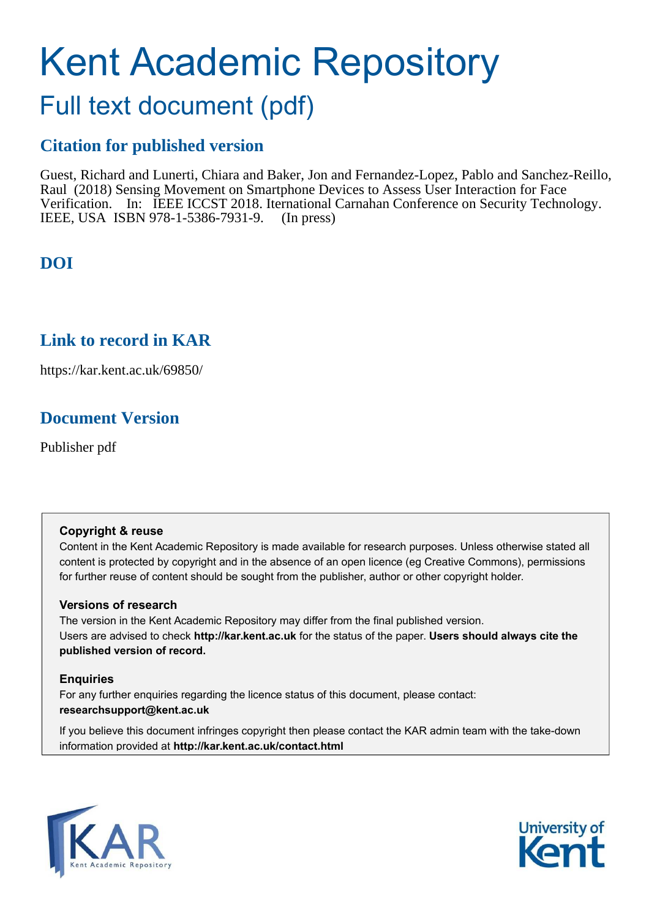# Kent Academic Repository

# Full text document (pdf)

# **Citation for published version**

Guest, Richard and Lunerti, Chiara and Baker, Jon and Fernandez-Lopez, Pablo and Sanchez-Reillo, Raul (2018) Sensing Movement on Smartphone Devices to Assess User Interaction for Face Verification. In: IEEE ICCST 2018. Iternational Carnahan Conference on Security Technology. IEEE, USA ISBN 978-1-5386-7931-9. (In press)

# **DOI**

### **Link to record in KAR**

https://kar.kent.ac.uk/69850/

# **Document Version**

Publisher pdf

#### **Copyright & reuse**

Content in the Kent Academic Repository is made available for research purposes. Unless otherwise stated all content is protected by copyright and in the absence of an open licence (eg Creative Commons), permissions for further reuse of content should be sought from the publisher, author or other copyright holder.

#### **Versions of research**

The version in the Kent Academic Repository may differ from the final published version. Users are advised to check **http://kar.kent.ac.uk** for the status of the paper. **Users should always cite the published version of record.**

#### **Enquiries**

For any further enquiries regarding the licence status of this document, please contact: **researchsupport@kent.ac.uk**

If you believe this document infringes copyright then please contact the KAR admin team with the take-down information provided at **http://kar.kent.ac.uk/contact.html**



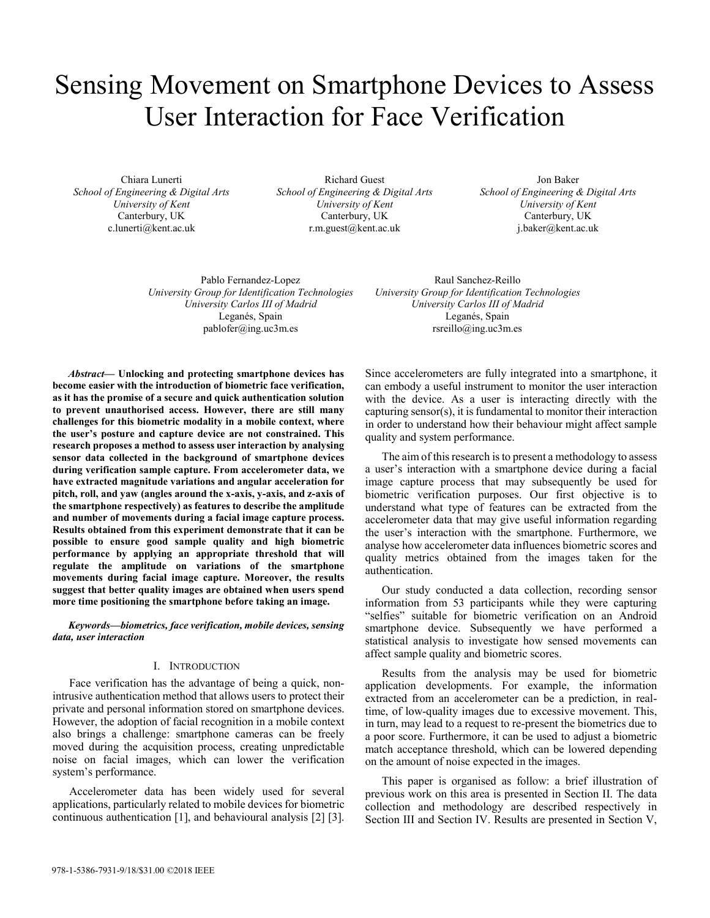# Sensing Movement on Smartphone Devices to Assess User Interaction for Face Verification

Chiara Lunerti *School of Engineering & Digital Arts University of Kent*  Canterbury, UK c.lunerti@kent.ac.uk

Richard Guest *School of Engineering & Digital Arts University of Kent*  Canterbury, UK r.m.guest@kent.ac.uk

Jon Baker *School of Engineering & Digital Arts University of Kent*  Canterbury, UK j.baker@kent.ac.uk

Pablo Fernandez-Lopez *University Group for Identification Technologies University Carlos III of Madrid*  Leganés, Spain pablofer@ing.uc3m.es

Raul Sanchez-Reillo *University Group for Identification Technologies University Carlos III of Madrid*  Leganés, Spain rsreillo@ing.uc3m.es

Abstract— Unlocking and protecting smartphone devices has **become easier with the introduction of biometric face verification, as it has the promise of a secure and quick authentication solution to prevent unauthorised access. However, there are still many challenges for this biometric modality in a mobile context, where**  the user's posture and capture device are not constrained. This **research proposes a method to assess user interaction by analysing sensor data collected in the background of smartphone devices during verification sample capture. From accelerometer data, we have extracted magnitude variations and angular acceleration for pitch, roll, and yaw (angles around the x-axis, y-axis, and z-axis of the smartphone respectively) as features to describe the amplitude and number of movements during a facial image capture process. Results obtained from this experiment demonstrate that it can be possible to ensure good sample quality and high biometric performance by applying an appropriate threshold that will regulate the amplitude on variations of the smartphone movements during facial image capture. Moreover, the results suggest that better quality images are obtained when users spend more time positioning the smartphone before taking an image.** 

Keywords-biometrics, face verification, mobile devices, sensing *data, user interaction* 

#### I. INTRODUCTION

Face verification has the advantage of being a quick, nonintrusive authentication method that allows users to protect their private and personal information stored on smartphone devices. However, the adoption of facial recognition in a mobile context also brings a challenge: smartphone cameras can be freely moved during the acquisition process, creating unpredictable noise on facial images, which can lower the verification system's performance.

Accelerometer data has been widely used for several applications, particularly related to mobile devices for biometric continuous authentication [1], and behavioural analysis [2] [3].

Since accelerometers are fully integrated into a smartphone, it can embody a useful instrument to monitor the user interaction with the device. As a user is interacting directly with the capturing sensor(s), it is fundamental to monitor their interaction in order to understand how their behaviour might affect sample quality and system performance.

The aim of this research is to present a methodology to assess a user's interaction with a smartphone device during a facial image capture process that may subsequently be used for biometric verification purposes. Our first objective is to understand what type of features can be extracted from the accelerometer data that may give useful information regarding the user's interaction with the smartphone. Furthermore, we analyse how accelerometer data influences biometric scores and quality metrics obtained from the images taken for the authentication.

Our study conducted a data collection, recording sensor information from 53 participants while they were capturing "selfies" suitable for biometric verification on an Android smartphone device. Subsequently we have performed a statistical analysis to investigate how sensed movements can affect sample quality and biometric scores.

Results from the analysis may be used for biometric application developments. For example, the information extracted from an accelerometer can be a prediction, in realtime, of low-quality images due to excessive movement. This, in turn, may lead to a request to re-present the biometrics due to a poor score. Furthermore, it can be used to adjust a biometric match acceptance threshold, which can be lowered depending on the amount of noise expected in the images.

This paper is organised as follow: a brief illustration of previous work on this area is presented in Section II. The data collection and methodology are described respectively in Section III and Section IV. Results are presented in Section V,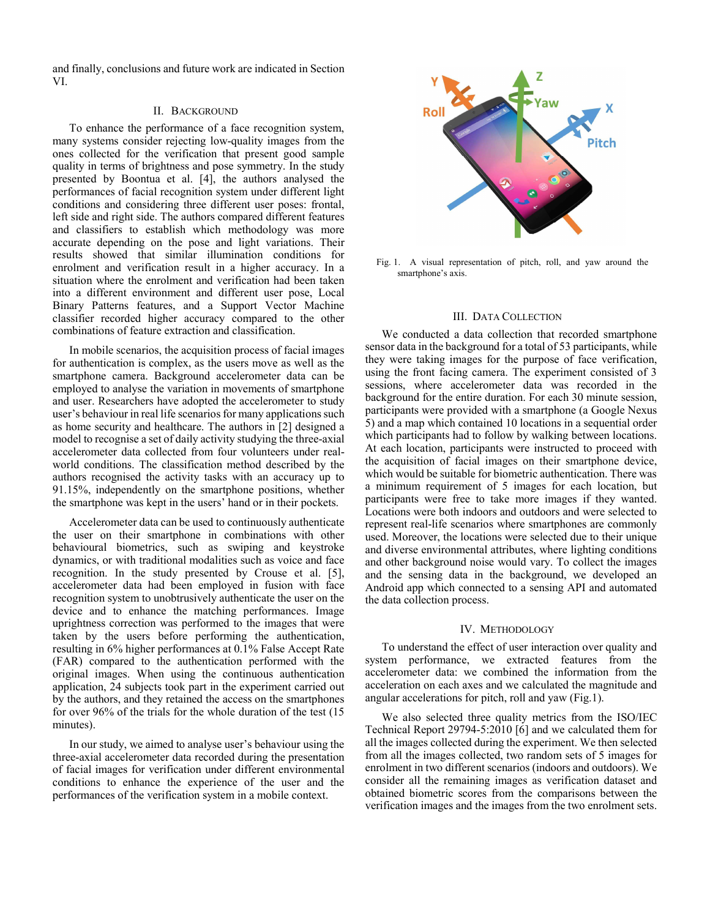and finally, conclusions and future work are indicated in Section VI.

#### II. BACKGROUND

To enhance the performance of a face recognition system, many systems consider rejecting low-quality images from the ones collected for the verification that present good sample quality in terms of brightness and pose symmetry. In the study presented by Boontua et al. [4], the authors analysed the performances of facial recognition system under different light conditions and considering three different user poses: frontal, left side and right side. The authors compared different features and classifiers to establish which methodology was more accurate depending on the pose and light variations. Their results showed that similar illumination conditions for enrolment and verification result in a higher accuracy. In a situation where the enrolment and verification had been taken into a different environment and different user pose, Local Binary Patterns features, and a Support Vector Machine classifier recorded higher accuracy compared to the other combinations of feature extraction and classification.

In mobile scenarios, the acquisition process of facial images for authentication is complex, as the users move as well as the smartphone camera. Background accelerometer data can be employed to analyse the variation in movements of smartphone and user. Researchers have adopted the accelerometer to study user's behaviour in real life scenarios for many applications such as home security and healthcare. The authors in [2] designed a model to recognise a set of daily activity studying the three-axial accelerometer data collected from four volunteers under realworld conditions. The classification method described by the authors recognised the activity tasks with an accuracy up to 91.15%, independently on the smartphone positions, whether the smartphone was kept in the users' hand or in their pockets.

Accelerometer data can be used to continuously authenticate the user on their smartphone in combinations with other behavioural biometrics, such as swiping and keystroke dynamics, or with traditional modalities such as voice and face recognition. In the study presented by Crouse et al. [5], accelerometer data had been employed in fusion with face recognition system to unobtrusively authenticate the user on the device and to enhance the matching performances. Image uprightness correction was performed to the images that were taken by the users before performing the authentication, resulting in 6% higher performances at 0.1% False Accept Rate (FAR) compared to the authentication performed with the original images. When using the continuous authentication application, 24 subjects took part in the experiment carried out by the authors, and they retained the access on the smartphones for over 96% of the trials for the whole duration of the test (15 minutes).

In our study, we aimed to analyse user's behaviour using the three-axial accelerometer data recorded during the presentation of facial images for verification under different environmental conditions to enhance the experience of the user and the performances of the verification system in a mobile context.



Fig. 1. A visual representation of pitch, roll, and yaw around the smartphone's axis.

#### III. DATA COLLECTION

We conducted a data collection that recorded smartphone sensor data in the background for a total of 53 participants, while they were taking images for the purpose of face verification, using the front facing camera. The experiment consisted of 3 sessions, where accelerometer data was recorded in the background for the entire duration. For each 30 minute session, participants were provided with a smartphone (a Google Nexus 5) and a map which contained 10 locations in a sequential order which participants had to follow by walking between locations. At each location, participants were instructed to proceed with the acquisition of facial images on their smartphone device, which would be suitable for biometric authentication. There was a minimum requirement of 5 images for each location, but participants were free to take more images if they wanted. Locations were both indoors and outdoors and were selected to represent real-life scenarios where smartphones are commonly used. Moreover, the locations were selected due to their unique and diverse environmental attributes, where lighting conditions and other background noise would vary. To collect the images and the sensing data in the background, we developed an Android app which connected to a sensing API and automated the data collection process.

#### IV. METHODOLOGY

To understand the effect of user interaction over quality and system performance, we extracted features from the accelerometer data: we combined the information from the acceleration on each axes and we calculated the magnitude and angular accelerations for pitch, roll and yaw (Fig.1).

We also selected three quality metrics from the ISO/IEC Technical Report 29794-5:2010 [6] and we calculated them for all the images collected during the experiment. We then selected from all the images collected, two random sets of 5 images for enrolment in two different scenarios (indoors and outdoors). We consider all the remaining images as verification dataset and obtained biometric scores from the comparisons between the verification images and the images from the two enrolment sets.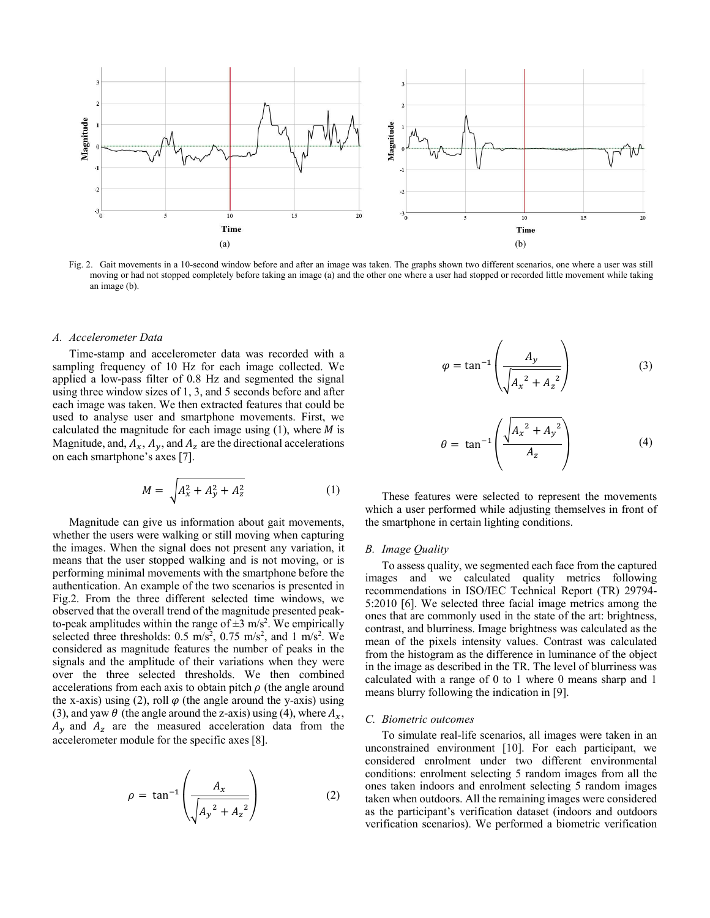

Fig. 2. Gait movements in a 10-second window before and after an image was taken. The graphs shown two different scenarios, one where a user was still moving or had not stopped completely before taking an image (a) and the other one where a user had stopped or recorded little movement while taking an image (b).

#### *A. Accelerometer Data*

Time-stamp and accelerometer data was recorded with a sampling frequency of 10 Hz for each image collected. We applied a low-pass filter of 0.8 Hz and segmented the signal using three window sizes of 1, 3, and 5 seconds before and after each image was taken. We then extracted features that could be used to analyse user and smartphone movements. First, we calculated the magnitude for each image using  $(1)$ , where  $M$  is Magnitude, and,  $A_x$ ,  $A_y$ , and  $A_z$  are the directional accelerations on each smartphone's axes [7].

$$
M = \sqrt{A_x^2 + A_y^2 + A_z^2}
$$
 (1)

Magnitude can give us information about gait movements, whether the users were walking or still moving when capturing the images. When the signal does not present any variation, it means that the user stopped walking and is not moving, or is performing minimal movements with the smartphone before the authentication. An example of the two scenarios is presented in Fig.2. From the three different selected time windows, we observed that the overall trend of the magnitude presented peakto-peak amplitudes within the range of  $\pm 3$  m/s<sup>2</sup>. We empirically selected three thresholds:  $0.5 \text{ m/s}^2$ ,  $0.75 \text{ m/s}^2$ , and  $1 \text{ m/s}^2$ . We considered as magnitude features the number of peaks in the signals and the amplitude of their variations when they were over the three selected thresholds. We then combined accelerations from each axis to obtain pitch  $\rho$  (the angle around the x-axis) using (2), roll  $\varphi$  (the angle around the y-axis) using (3), and yaw  $\theta$  (the angle around the z-axis) using (4), where  $A_x$ ,  $A_y$  and  $A_z$  are the measured acceleration data from the accelerometer module for the specific axes [8].

$$
\rho = \tan^{-1} \left( \frac{A_x}{\sqrt{A_y^2 + A_z^2}} \right) \tag{2}
$$

$$
\varphi = \tan^{-1}\left(\frac{A_y}{\sqrt{A_x^2 + A_z^2}}\right) \tag{3}
$$

$$
\theta = \tan^{-1} \left( \frac{\sqrt{A_x^2 + A_y^2}}{A_z} \right) \tag{4}
$$

These features were selected to represent the movements which a user performed while adjusting themselves in front of the smartphone in certain lighting conditions.

#### *B. Image Quality*

To assess quality, we segmented each face from the captured images and we calculated quality metrics following recommendations in ISO/IEC Technical Report (TR) 29794- 5:2010 [6]. We selected three facial image metrics among the ones that are commonly used in the state of the art: brightness, contrast, and blurriness. Image brightness was calculated as the mean of the pixels intensity values. Contrast was calculated from the histogram as the difference in luminance of the object in the image as described in the TR. The level of blurriness was calculated with a range of 0 to 1 where 0 means sharp and 1 means blurry following the indication in [9].

#### *C. Biometric outcomes*

To simulate real-life scenarios, all images were taken in an unconstrained environment [10]. For each participant, we considered enrolment under two different environmental conditions: enrolment selecting 5 random images from all the ones taken indoors and enrolment selecting 5 random images taken when outdoors. All the remaining images were considered as the participant's verification dataset (indoors and outdoors verification scenarios). We performed a biometric verification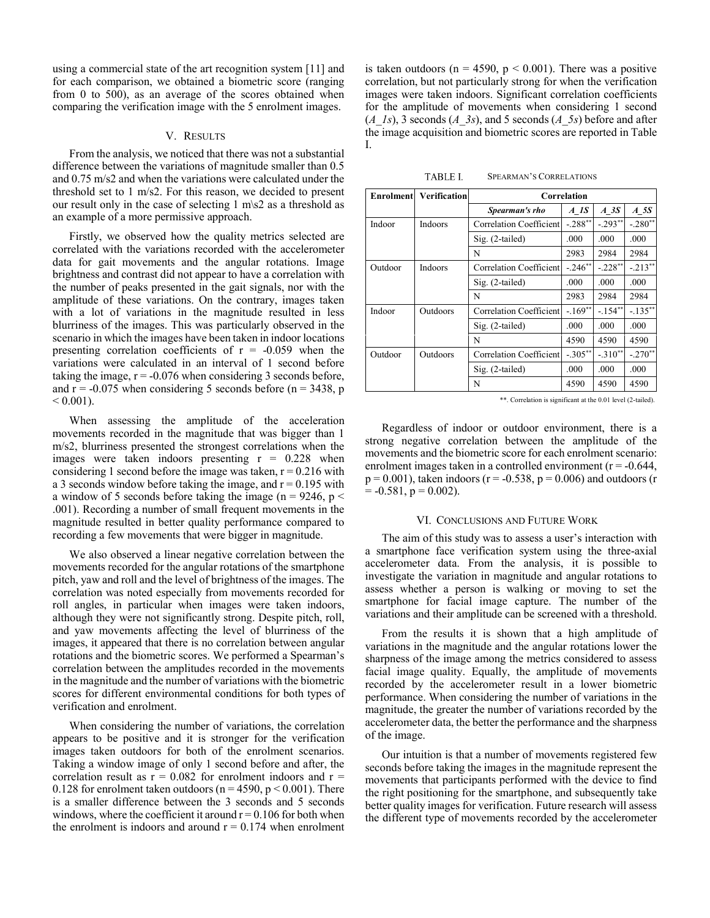using a commercial state of the art recognition system [11] and for each comparison, we obtained a biometric score (ranging from 0 to 500), as an average of the scores obtained when comparing the verification image with the 5 enrolment images.

#### V. RESULTS

From the analysis, we noticed that there was not a substantial difference between the variations of magnitude smaller than 0.5 and 0.75 m/s2 and when the variations were calculated under the threshold set to 1 m/s2. For this reason, we decided to present our result only in the case of selecting 1 m\s2 as a threshold as an example of a more permissive approach.

Firstly, we observed how the quality metrics selected are correlated with the variations recorded with the accelerometer data for gait movements and the angular rotations. Image brightness and contrast did not appear to have a correlation with the number of peaks presented in the gait signals, nor with the amplitude of these variations. On the contrary, images taken with a lot of variations in the magnitude resulted in less blurriness of the images. This was particularly observed in the scenario in which the images have been taken in indoor locations presenting correlation coefficients of  $r = -0.059$  when the variations were calculated in an interval of 1 second before taking the image,  $r = -0.076$  when considering 3 seconds before, and  $r = -0.075$  when considering 5 seconds before (n = 3438, p)  $< 0.001$ ).

When assessing the amplitude of the acceleration movements recorded in the magnitude that was bigger than 1 m/s2, blurriness presented the strongest correlations when the images were taken indoors presenting  $r = 0.228$  when considering 1 second before the image was taken,  $r = 0.216$  with a 3 seconds window before taking the image, and  $r = 0.195$  with a window of 5 seconds before taking the image ( $n = 9246$ ,  $p <$ .001). Recording a number of small frequent movements in the magnitude resulted in better quality performance compared to recording a few movements that were bigger in magnitude.

We also observed a linear negative correlation between the movements recorded for the angular rotations of the smartphone pitch, yaw and roll and the level of brightness of the images. The correlation was noted especially from movements recorded for roll angles, in particular when images were taken indoors, although they were not significantly strong. Despite pitch, roll, and yaw movements affecting the level of blurriness of the images, it appeared that there is no correlation between angular rotations and the biometric scores. We performed a Spearman's correlation between the amplitudes recorded in the movements in the magnitude and the number of variations with the biometric scores for different environmental conditions for both types of verification and enrolment.

When considering the number of variations, the correlation appears to be positive and it is stronger for the verification images taken outdoors for both of the enrolment scenarios. Taking a window image of only 1 second before and after, the correlation result as  $r = 0.082$  for enrolment indoors and  $r =$ 0.128 for enrolment taken outdoors ( $n = 4590$ ,  $p < 0.001$ ). There is a smaller difference between the 3 seconds and 5 seconds windows, where the coefficient it around  $r = 0.106$  for both when the enrolment is indoors and around  $r = 0.174$  when enrolment

is taken outdoors ( $n = 4590$ ,  $p < 0.001$ ). There was a positive correlation, but not particularly strong for when the verification images were taken indoors. Significant correlation coefficients for the amplitude of movements when considering 1 second  $(A_1, B_1)$ , 3 seconds  $(A_2, B_2)$ , and 5 seconds  $(A_2, B_2)$  before and after the image acquisition and biometric scores are reported in Table I.

| <b>Enrolment</b> | <b>Verification</b> | Correlation             |            |           |            |
|------------------|---------------------|-------------------------|------------|-----------|------------|
|                  |                     | Spearman's rho          | $A$ 1S     | $A$ 3 $S$ | $A$ 5 $S$  |
| Indoor           | <b>Indoors</b>      | Correlation Coefficient | $-.288**$  | $-.293**$ | $-.280**$  |
|                  |                     | Sig. (2-tailed)         | .000       | .000      | .000       |
|                  |                     | N                       | 2983       | 2984      | 2984       |
| Outdoor          | <b>Indoors</b>      | Correlation Coefficient | $-.246**$  | $-.228**$ | $-.213**$  |
|                  |                     | Sig. (2-tailed)         | .000       | .000      | .000       |
|                  |                     | N                       | 2983       | 2984      | 2984       |
| Indoor           | Outdoors            | Correlation Coefficient | $-.169**$  | $-.154**$ | $-.135***$ |
|                  |                     | Sig. (2-tailed)         | .000       | .000      | .000       |
|                  |                     | N                       | 4590       | 4590      | 4590       |
| Outdoor          | Outdoors            | Correlation Coefficient | $-.305***$ | $-.310**$ | $-.270**$  |
|                  |                     | Sig. (2-tailed)         | .000       | .000      | .000       |
|                  |                     | N                       | 4590       | 4590      | 4590       |

\*\*. Correlation is significant at the 0.01 level (2-tailed).

Regardless of indoor or outdoor environment, there is a strong negative correlation between the amplitude of the movements and the biometric score for each enrolment scenario: enrolment images taken in a controlled environment  $(r = -0.644)$ ,  $p = 0.001$ ), taken indoors (r = -0.538, p = 0.006) and outdoors (r  $= -0.581$ ,  $p = 0.002$ ).

#### VI. CONCLUSIONS AND FUTURE WORK

The aim of this study was to assess a user's interaction with a smartphone face verification system using the three-axial accelerometer data. From the analysis, it is possible to investigate the variation in magnitude and angular rotations to assess whether a person is walking or moving to set the smartphone for facial image capture. The number of the variations and their amplitude can be screened with a threshold.

From the results it is shown that a high amplitude of variations in the magnitude and the angular rotations lower the sharpness of the image among the metrics considered to assess facial image quality. Equally, the amplitude of movements recorded by the accelerometer result in a lower biometric performance. When considering the number of variations in the magnitude, the greater the number of variations recorded by the accelerometer data, the better the performance and the sharpness of the image.

Our intuition is that a number of movements registered few seconds before taking the images in the magnitude represent the movements that participants performed with the device to find the right positioning for the smartphone, and subsequently take better quality images for verification. Future research will assess the different type of movements recorded by the accelerometer